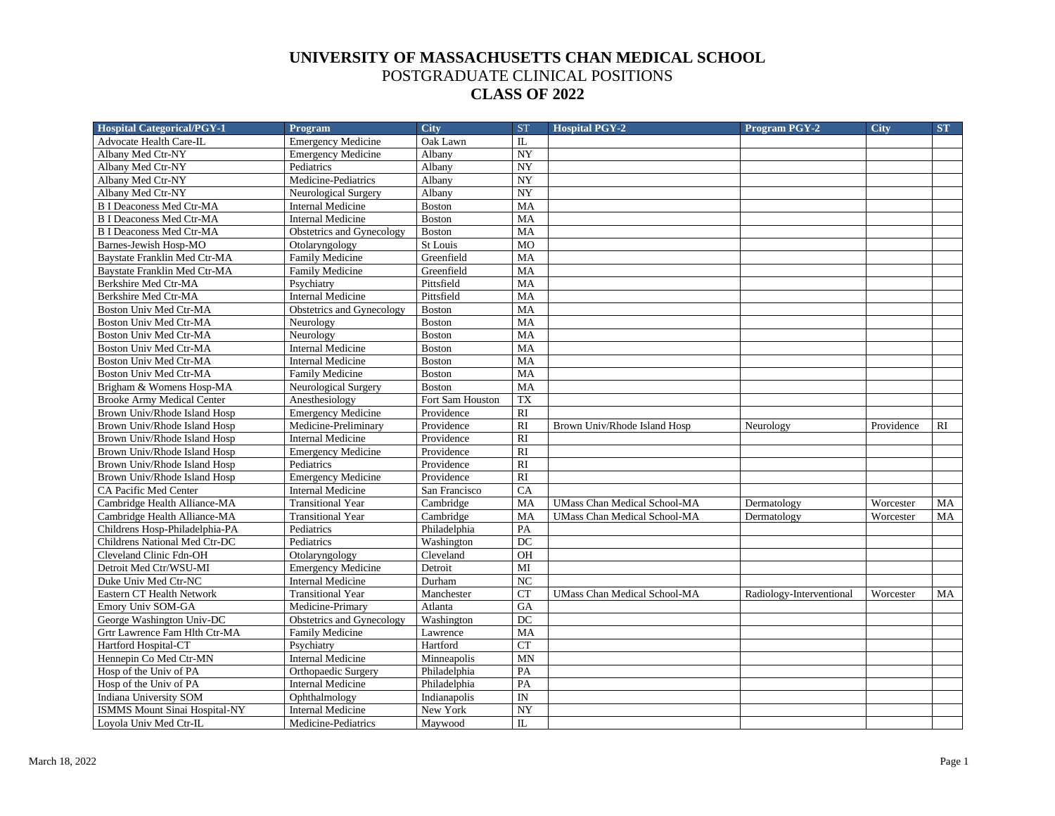| <b>Hospital Categorical/PGY-1</b>    | <b>Program</b>            | <b>City</b>                   | <b>ST</b>      | <b>Hospital PGY-2</b>               | <b>Program PGY-2</b>     | <b>City</b> | <b>ST</b> |
|--------------------------------------|---------------------------|-------------------------------|----------------|-------------------------------------|--------------------------|-------------|-----------|
| Advocate Health Care-IL              | <b>Emergency Medicine</b> | Oak Lawn                      | IL             |                                     |                          |             |           |
| Albany Med Ctr-NY                    | <b>Emergency Medicine</b> | Albany                        | NY             |                                     |                          |             |           |
| Albany Med Ctr-NY                    | Pediatrics                | Albany                        | NY             |                                     |                          |             |           |
| Albany Med Ctr-NY                    | Medicine-Pediatrics       | Albany                        | NY             |                                     |                          |             |           |
| Albany Med Ctr-NY                    | Neurological Surgery      | Albany                        | <b>NY</b>      |                                     |                          |             |           |
| <b>B I Deaconess Med Ctr-MA</b>      | <b>Internal Medicine</b>  | <b>Boston</b>                 | MA             |                                     |                          |             |           |
| <b>B I Deaconess Med Ctr-MA</b>      | <b>Internal Medicine</b>  | <b>Boston</b>                 | MA             |                                     |                          |             |           |
| <b>B I Deaconess Med Ctr-MA</b>      | Obstetrics and Gynecology | Boston                        | <b>MA</b>      |                                     |                          |             |           |
| Barnes-Jewish Hosp-MO                | Otolaryngology            | St Louis                      | M <sub>O</sub> |                                     |                          |             |           |
| Baystate Franklin Med Ctr-MA         | Family Medicine           | Greenfield                    | MA             |                                     |                          |             |           |
| Baystate Franklin Med Ctr-MA         | <b>Family Medicine</b>    | Greenfield                    | MA             |                                     |                          |             |           |
| Berkshire Med Ctr-MA                 | Psychiatry                | Pittsfield                    | MA             |                                     |                          |             |           |
| Berkshire Med Ctr-MA                 | <b>Internal Medicine</b>  | Pittsfield                    | MA             |                                     |                          |             |           |
| Boston Univ Med Ctr-MA               | Obstetrics and Gynecology | <b>Boston</b>                 | MA             |                                     |                          |             |           |
| Boston Univ Med Ctr-MA               | Neurology                 | <b>Boston</b>                 | MA             |                                     |                          |             |           |
| Boston Univ Med Ctr-MA               | Neurology                 | <b>Boston</b>                 | MA             |                                     |                          |             |           |
| Boston Univ Med Ctr-MA               | <b>Internal Medicine</b>  | <b>Boston</b>                 | MA             |                                     |                          |             |           |
| Boston Univ Med Ctr-MA               | <b>Internal Medicine</b>  | <b>Boston</b>                 | MA             |                                     |                          |             |           |
| Boston Univ Med Ctr-MA               | <b>Family Medicine</b>    | <b>Boston</b>                 | MA             |                                     |                          |             |           |
| Brigham & Womens Hosp-MA             | Neurological Surgery      | <b>Boston</b>                 | MA             |                                     |                          |             |           |
| <b>Brooke Army Medical Center</b>    | Anesthesiology            | Fort Sam Houston              | <b>TX</b>      |                                     |                          |             |           |
| Brown Univ/Rhode Island Hosp         | <b>Emergency Medicine</b> | Providence                    | <b>RI</b>      |                                     |                          |             |           |
| Brown Univ/Rhode Island Hosp         | Medicine-Preliminary      | Providence                    | RI             | Brown Univ/Rhode Island Hosp        | Neurology                | Providence  | RI        |
| Brown Univ/Rhode Island Hosp         | <b>Internal Medicine</b>  | Providence                    | <b>RI</b>      |                                     |                          |             |           |
| Brown Univ/Rhode Island Hosp         | <b>Emergency Medicine</b> | Providence                    | <b>RI</b>      |                                     |                          |             |           |
| Brown Univ/Rhode Island Hosp         | Pediatrics                | Providence                    | RI             |                                     |                          |             |           |
| Brown Univ/Rhode Island Hosp         | <b>Emergency Medicine</b> | Providence                    | RI             |                                     |                          |             |           |
| CA Pacific Med Center                | <b>Internal Medicine</b>  | San Francisco                 | CA             |                                     |                          |             |           |
| Cambridge Health Alliance-MA         | <b>Transitional Year</b>  | $\overline{\text{Cambridge}}$ | MA             | <b>UMass Chan Medical School-MA</b> | Dermatology              | Worcester   | MA        |
| Cambridge Health Alliance-MA         | <b>Transitional Year</b>  | Cambridge                     | MA             | <b>UMass Chan Medical School-MA</b> | Dermatology              | Worcester   | MA        |
| Childrens Hosp-Philadelphia-PA       | Pediatrics                | Philadelphia                  | PA             |                                     |                          |             |           |
| Childrens National Med Ctr-DC        | Pediatrics                | Washington                    | DC             |                                     |                          |             |           |
| Cleveland Clinic Fdn-OH              | Otolaryngology            | Cleveland                     | OH             |                                     |                          |             |           |
| Detroit Med Ctr/WSU-MI               | <b>Emergency Medicine</b> | Detroit                       | MI             |                                     |                          |             |           |
| Duke Univ Med Ctr-NC                 | <b>Internal Medicine</b>  | Durham                        | NC             |                                     |                          |             |           |
| Eastern CT Health Network            | <b>Transitional Year</b>  | Manchester                    | CT             | <b>UMass Chan Medical School-MA</b> | Radiology-Interventional | Worcester   | MA        |
| Emory Univ SOM-GA                    | Medicine-Primary          | Atlanta                       | GA             |                                     |                          |             |           |
| George Washington Univ-DC            | Obstetrics and Gynecology | Washington                    | DC             |                                     |                          |             |           |
| Grtr Lawrence Fam Hlth Ctr-MA        | <b>Family Medicine</b>    | Lawrence                      | MA             |                                     |                          |             |           |
| Hartford Hospital-CT                 | Psychiatry                | Hartford                      | CT             |                                     |                          |             |           |
| Hennepin Co Med Ctr-MN               | <b>Internal Medicine</b>  | Minneapolis                   | <b>MN</b>      |                                     |                          |             |           |
| Hosp of the Univ of PA               | Orthopaedic Surgery       | Philadelphia                  | PA             |                                     |                          |             |           |
| Hosp of the Univ of PA               | <b>Internal Medicine</b>  | Philadelphia                  | PA             |                                     |                          |             |           |
| Indiana University SOM               | Ophthalmology             | Indianapolis                  | ${\rm IN}$     |                                     |                          |             |           |
| <b>ISMMS Mount Sinai Hospital-NY</b> | <b>Internal Medicine</b>  | New York                      | <b>NY</b>      |                                     |                          |             |           |
| Lovola Univ Med Ctr-IL               | Medicine-Pediatrics       | Maywood                       | IL             |                                     |                          |             |           |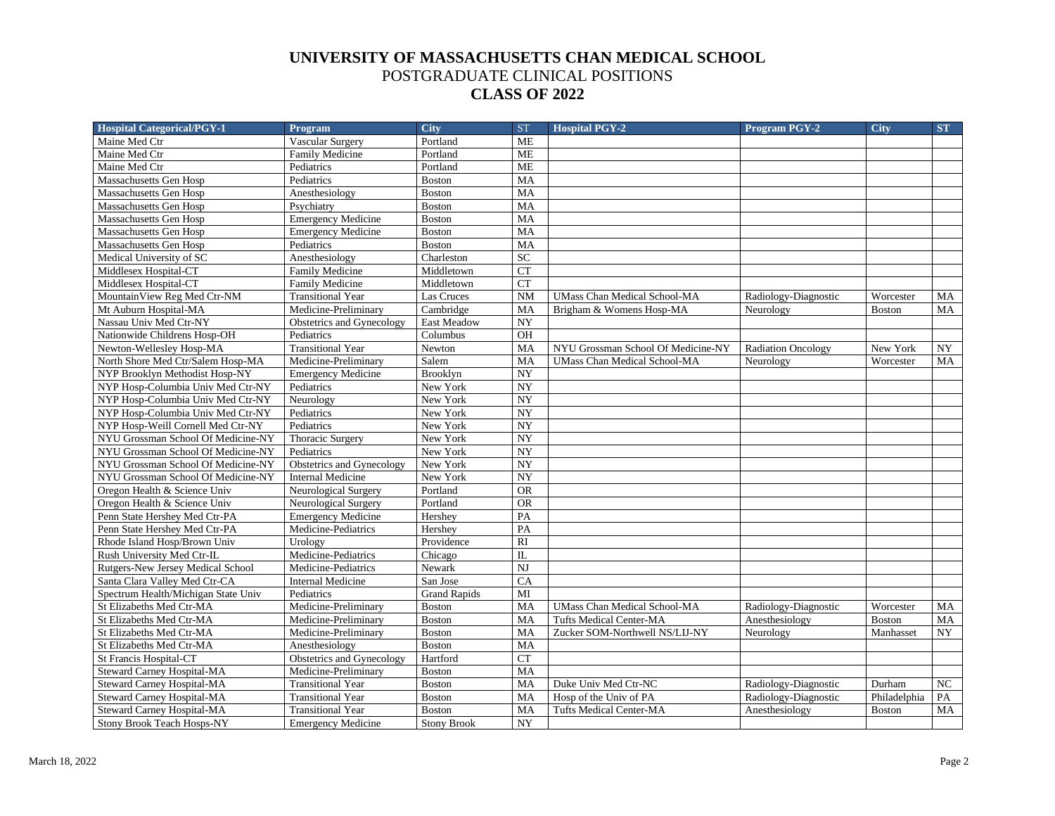| <b>Hospital Categorical/PGY-1</b>   | <b>Program</b>            | <b>City</b>         | <b>ST</b>              | <b>Hospital PGY-2</b>               | <b>Program PGY-2</b>      | <b>City</b>   | ST.       |
|-------------------------------------|---------------------------|---------------------|------------------------|-------------------------------------|---------------------------|---------------|-----------|
| Maine Med Ctr                       | <b>Vascular Surgery</b>   | Portland            | <b>ME</b>              |                                     |                           |               |           |
| Maine Med Ctr                       | Family Medicine           | Portland            | <b>ME</b>              |                                     |                           |               |           |
| Maine Med Ctr                       | Pediatrics                | Portland            | <b>ME</b>              |                                     |                           |               |           |
| Massachusetts Gen Hosp              | Pediatrics                | <b>Boston</b>       | MA                     |                                     |                           |               |           |
| Massachusetts Gen Hosp              | Anesthesiology            | <b>Boston</b>       | MA                     |                                     |                           |               |           |
| Massachusetts Gen Hosp              | Psychiatry                | <b>Boston</b>       | MA                     |                                     |                           |               |           |
| Massachusetts Gen Hosp              | <b>Emergency Medicine</b> | <b>Boston</b>       | MA                     |                                     |                           |               |           |
| Massachusetts Gen Hosp              | <b>Emergency Medicine</b> | <b>Boston</b>       | MA                     |                                     |                           |               |           |
| Massachusetts Gen Hosp              | Pediatrics                | <b>Boston</b>       | MA                     |                                     |                           |               |           |
| Medical University of SC            | Anesthesiology            | Charleston          | SC                     |                                     |                           |               |           |
| Middlesex Hospital-CT               | Family Medicine           | Middletown          | <b>CT</b>              |                                     |                           |               |           |
| Middlesex Hospital-CT               | Family Medicine           | Middletown          | CT                     |                                     |                           |               |           |
| MountainView Reg Med Ctr-NM         | <b>Transitional Year</b>  | Las Cruces          | <b>NM</b>              | <b>UMass Chan Medical School-MA</b> | Radiology-Diagnostic      | Worcester     | MA        |
| Mt Auburn Hospital-MA               | Medicine-Preliminary      | Cambridge           | MA                     | Brigham & Womens Hosp-MA            | Neurology                 | <b>Boston</b> | <b>MA</b> |
| Nassau Univ Med Ctr-NY              | Obstetrics and Gynecology | East Meadow         | NY                     |                                     |                           |               |           |
| Nationwide Childrens Hosp-OH        | Pediatrics                | Columbus            | OH                     |                                     |                           |               |           |
| Newton-Wellesley Hosp-MA            | <b>Transitional Year</b>  | Newton              | MA                     | NYU Grossman School Of Medicine-NY  | <b>Radiation Oncology</b> | New York      | NY        |
| North Shore Med Ctr/Salem Hosp-MA   | Medicine-Preliminary      | Salem               | MA                     | <b>UMass Chan Medical School-MA</b> | Neurology                 | Worcester     | MA        |
| NYP Brooklyn Methodist Hosp-NY      | <b>Emergency Medicine</b> | Brooklyn            | NY                     |                                     |                           |               |           |
| NYP Hosp-Columbia Univ Med Ctr-NY   | Pediatrics                | New York            | NY                     |                                     |                           |               |           |
| NYP Hosp-Columbia Univ Med Ctr-NY   | Neurology                 | New York            | NY                     |                                     |                           |               |           |
| NYP Hosp-Columbia Univ Med Ctr-NY   | Pediatrics                | New York            | NY                     |                                     |                           |               |           |
| NYP Hosp-Weill Cornell Med Ctr-NY   | Pediatrics                | New York            | NY                     |                                     |                           |               |           |
| NYU Grossman School Of Medicine-NY  | Thoracic Surgery          | New York            | NY                     |                                     |                           |               |           |
| NYU Grossman School Of Medicine-NY  | Pediatrics                | New York            | NY                     |                                     |                           |               |           |
| NYU Grossman School Of Medicine-NY  | Obstetrics and Gynecology | New York            | NY                     |                                     |                           |               |           |
| NYU Grossman School Of Medicine-NY  | <b>Internal Medicine</b>  | New York            | NY                     |                                     |                           |               |           |
| Oregon Health & Science Univ        | Neurological Surgery      | Portland            | <b>OR</b>              |                                     |                           |               |           |
| Oregon Health & Science Univ        | Neurological Surgery      | Portland            | <b>OR</b>              |                                     |                           |               |           |
| Penn State Hershey Med Ctr-PA       | <b>Emergency Medicine</b> | Hershey             | PA                     |                                     |                           |               |           |
| Penn State Hershey Med Ctr-PA       | Medicine-Pediatrics       | Hershey             | PA                     |                                     |                           |               |           |
| Rhode Island Hosp/Brown Univ        | Urology                   | Providence          | $\overline{RI}$        |                                     |                           |               |           |
| Rush University Med Ctr-IL          | Medicine-Pediatrics       | Chicago             | $_{\rm IL}$            |                                     |                           |               |           |
| Rutgers-New Jersey Medical School   | Medicine-Pediatrics       | Newark              | $\overline{\text{NJ}}$ |                                     |                           |               |           |
| Santa Clara Valley Med Ctr-CA       | <b>Internal Medicine</b>  | San Jose            | CA                     |                                     |                           |               |           |
| Spectrum Health/Michigan State Univ | Pediatrics                | <b>Grand Rapids</b> | MI                     |                                     |                           |               |           |
| St Elizabeths Med Ctr-MA            | Medicine-Preliminary      | <b>Boston</b>       | MA                     | <b>UMass Chan Medical School-MA</b> | Radiology-Diagnostic      | Worcester     | MA        |
| St Elizabeths Med Ctr-MA            | Medicine-Preliminary      | <b>Boston</b>       | MA                     | <b>Tufts Medical Center-MA</b>      | Anesthesiology            | <b>Boston</b> | $\rm MA$  |
| St Elizabeths Med Ctr-MA            | Medicine-Preliminary      | <b>Boston</b>       | MA                     | Zucker SOM-Northwell NS/LIJ-NY      | Neurology                 | Manhasset     | NY        |
| St Elizabeths Med Ctr-MA            | Anesthesiology            | <b>Boston</b>       | MA                     |                                     |                           |               |           |
| <b>St Francis Hospital-CT</b>       | Obstetrics and Gynecology | Hartford            | <b>CT</b>              |                                     |                           |               |           |
| Steward Carney Hospital-MA          | Medicine-Preliminary      | <b>Boston</b>       | MA                     |                                     |                           |               |           |
| Steward Carney Hospital-MA          | <b>Transitional Year</b>  | <b>Boston</b>       | MA                     | Duke Univ Med Ctr-NC                | Radiology-Diagnostic      | Durham        | NC        |
| <b>Steward Carney Hospital-MA</b>   | <b>Transitional Year</b>  | <b>Boston</b>       | MA                     | Hosp of the Univ of PA              | Radiology-Diagnostic      | Philadelphia  | PA        |
| Steward Carney Hospital-MA          | <b>Transitional Year</b>  | Boston              | MA                     | <b>Tufts Medical Center-MA</b>      | Anesthesiology            | <b>Boston</b> | MA        |
| Stony Brook Teach Hosps-NY          | <b>Emergency Medicine</b> | <b>Stony Brook</b>  | NY                     |                                     |                           |               |           |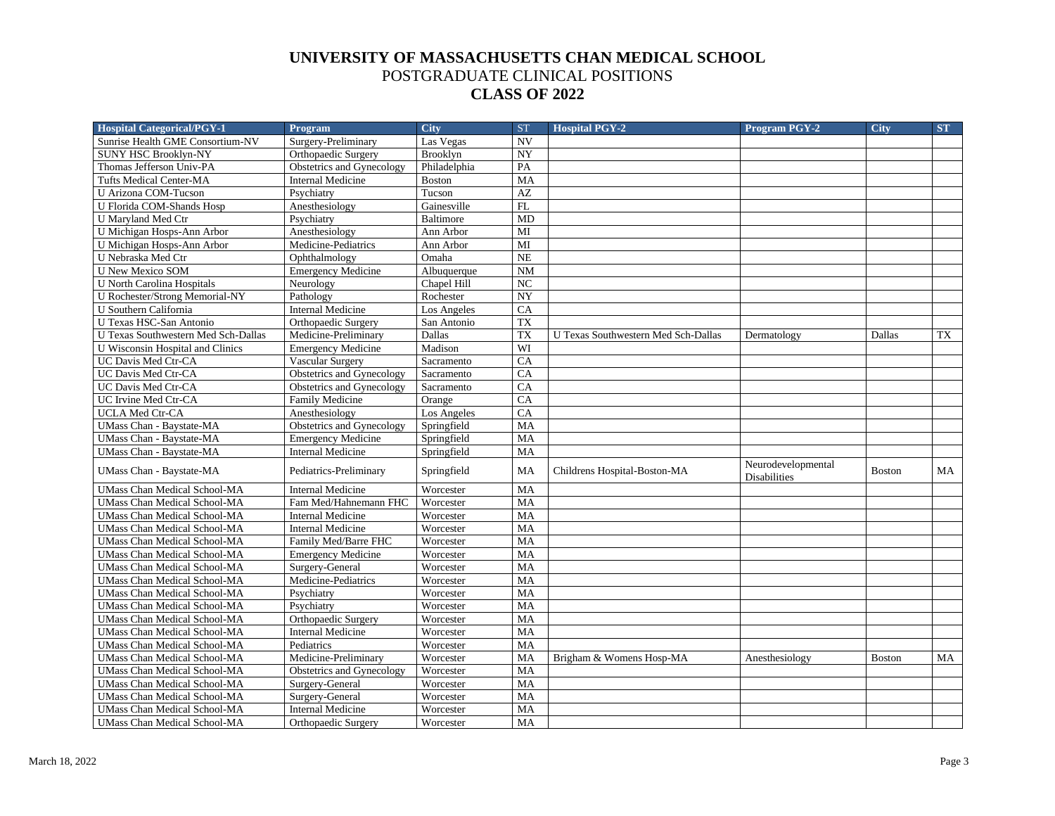| <b>Hospital Categorical/PGY-1</b>     | <b>Program</b>             | <b>City</b>      | <b>ST</b> | <b>Hospital PGY-2</b>               | <b>Program PGY-2</b>                      | <b>City</b>   | ST |
|---------------------------------------|----------------------------|------------------|-----------|-------------------------------------|-------------------------------------------|---------------|----|
| Sunrise Health GME Consortium-NV      | Surgery-Preliminary        | Las Vegas        | <b>NV</b> |                                     |                                           |               |    |
| <b>SUNY HSC Brooklyn-NY</b>           | <b>Orthopaedic Surgery</b> | Brooklyn         | NY        |                                     |                                           |               |    |
| Thomas Jefferson Univ-PA              | Obstetrics and Gynecology  | Philadelphia     | PA        |                                     |                                           |               |    |
| <b>Tufts Medical Center-MA</b>        | <b>Internal Medicine</b>   | <b>Boston</b>    | MA        |                                     |                                           |               |    |
| U Arizona COM-Tucson                  | Psychiatry                 | Tucson           | AZ        |                                     |                                           |               |    |
| U Florida COM-Shands Hosp             | Anesthesiology             | Gainesville      | FL        |                                     |                                           |               |    |
| U Maryland Med Ctr                    | Psychiatry                 | <b>Baltimore</b> | MD        |                                     |                                           |               |    |
| U Michigan Hosps-Ann Arbor            | Anesthesiology             | Ann Arbor        | MI        |                                     |                                           |               |    |
| U Michigan Hosps-Ann Arbor            | Medicine-Pediatrics        | Ann Arbor        | MI        |                                     |                                           |               |    |
| U Nebraska Med Ctr                    | Ophthalmology              | Omaha            | <b>NE</b> |                                     |                                           |               |    |
| <b>U New Mexico SOM</b>               | <b>Emergency Medicine</b>  | Albuquerque      | NM        |                                     |                                           |               |    |
| <b>U North Carolina Hospitals</b>     | Neurology                  | Chapel Hill      | NC        |                                     |                                           |               |    |
| <b>U Rochester/Strong Memorial-NY</b> | Pathology                  | Rochester        | <b>NY</b> |                                     |                                           |               |    |
| U Southern California                 | <b>Internal Medicine</b>   | Los Angeles      | CA        |                                     |                                           |               |    |
| U Texas HSC-San Antonio               | Orthopaedic Surgery        | San Antonio      | <b>TX</b> |                                     |                                           |               |    |
| U Texas Southwestern Med Sch-Dallas   | Medicine-Preliminary       | Dallas           | <b>TX</b> | U Texas Southwestern Med Sch-Dallas | Dermatology                               | Dallas        | TX |
| U Wisconsin Hospital and Clinics      | <b>Emergency Medicine</b>  | Madison          | WI        |                                     |                                           |               |    |
| UC Davis Med Ctr-CA                   | Vascular Surgery           | Sacramento       | CA        |                                     |                                           |               |    |
| UC Davis Med Ctr-CA                   | Obstetrics and Gynecology  | Sacramento       | CA        |                                     |                                           |               |    |
| UC Davis Med Ctr-CA                   | Obstetrics and Gynecology  | Sacramento       | CA        |                                     |                                           |               |    |
| UC Irvine Med Ctr-CA                  | <b>Family Medicine</b>     | Orange           | CA        |                                     |                                           |               |    |
| UCLA Med Ctr-CA                       | Anesthesiology             | Los Angeles      | CA        |                                     |                                           |               |    |
| <b>UMass Chan - Baystate-MA</b>       | Obstetrics and Gynecology  | Springfield      | MA        |                                     |                                           |               |    |
| UMass Chan - Baystate-MA              | <b>Emergency Medicine</b>  | Springfield      | MA        |                                     |                                           |               |    |
| <b>UMass Chan - Baystate-MA</b>       | <b>Internal Medicine</b>   | Springfield      | MA        |                                     |                                           |               |    |
| UMass Chan - Baystate-MA              | Pediatrics-Preliminary     | Springfield      | MA        | Childrens Hospital-Boston-MA        | Neurodevelopmental<br><b>Disabilities</b> | <b>Boston</b> | MA |
| <b>UMass Chan Medical School-MA</b>   | <b>Internal Medicine</b>   | Worcester        | MA        |                                     |                                           |               |    |
| <b>UMass Chan Medical School-MA</b>   | Fam Med/Hahnemann FHC      | Worcester        | MA        |                                     |                                           |               |    |
| <b>UMass Chan Medical School-MA</b>   | <b>Internal Medicine</b>   | Worcester        | MA        |                                     |                                           |               |    |
| <b>UMass Chan Medical School-MA</b>   | <b>Internal Medicine</b>   | Worcester        | MA        |                                     |                                           |               |    |
| <b>UMass Chan Medical School-MA</b>   | Family Med/Barre FHC       | Worcester        | MA        |                                     |                                           |               |    |
| <b>UMass Chan Medical School-MA</b>   | <b>Emergency Medicine</b>  | Worcester        | MA        |                                     |                                           |               |    |
| <b>UMass Chan Medical School-MA</b>   | Surgery-General            | Worcester        | MA        |                                     |                                           |               |    |
| <b>UMass Chan Medical School-MA</b>   | Medicine-Pediatrics        | Worcester        | MA        |                                     |                                           |               |    |
| UMass Chan Medical School-MA          | Psychiatry                 | Worcester        | MA        |                                     |                                           |               |    |
| <b>UMass Chan Medical School-MA</b>   | Psychiatry                 | Worcester        | MA        |                                     |                                           |               |    |
| <b>UMass Chan Medical School-MA</b>   | Orthopaedic Surgery        | Worcester        | MA        |                                     |                                           |               |    |
| <b>UMass Chan Medical School-MA</b>   | <b>Internal Medicine</b>   | Worcester        | MA        |                                     |                                           |               |    |
| <b>UMass Chan Medical School-MA</b>   | Pediatrics                 | Worcester        | MA        |                                     |                                           |               |    |
| UMass Chan Medical School-MA          | Medicine-Preliminary       | Worcester        | MA        | Brigham & Womens Hosp-MA            | Anesthesiology                            | <b>Boston</b> | MA |
| <b>UMass Chan Medical School-MA</b>   | Obstetrics and Gynecology  | Worcester        | <b>MA</b> |                                     |                                           |               |    |
| <b>UMass Chan Medical School-MA</b>   | Surgery-General            | Worcester        | MA        |                                     |                                           |               |    |
| <b>UMass Chan Medical School-MA</b>   | Surgery-General            | Worcester        | MA        |                                     |                                           |               |    |
| <b>UMass Chan Medical School-MA</b>   | <b>Internal Medicine</b>   | Worcester        | MA        |                                     |                                           |               |    |
| <b>UMass Chan Medical School-MA</b>   | Orthopaedic Surgery        | Worcester        | <b>MA</b> |                                     |                                           |               |    |